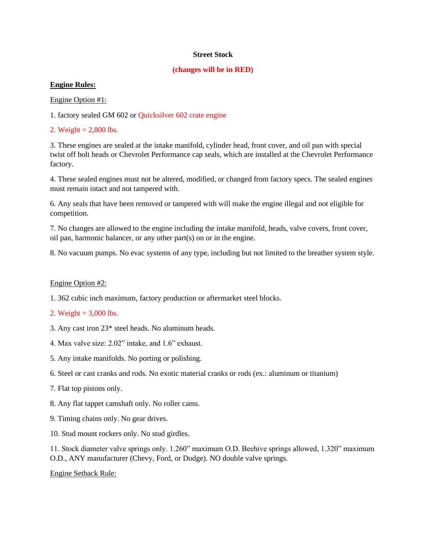#### **Street Stock**

#### **(changes will be in RED)**

### **Engine Rules:**

Engine Option #1:

1. factory sealed GM 602 or Quicksilver 602 crate engine

2. Weight  $= 2,800$  lbs.

3. These engines are sealed at the intake manifold, cylinder head, front cover, and oil pan with special twist off bolt heads or Chevrolet Performance cap seals, which are installed at the Chevrolet Performance factory.

4. These sealed engines must not be altered, modified, or changed from factory specs. The sealed engines must remain intact and not tampered with.

6. Any seals that have been removed or tampered with will make the engine illegal and not eligible for competition.

7. No changes are allowed to the engine including the intake manifold, heads, valve covers, front cover, oil pan, harmonic balancer, or any other part(s) on or in the engine.

8. No vacuum pumps. No evac systems of any type, including but not limited to the breather system style.

### Engine Option #2:

- 1. 362 cubic inch maximum, factory production or aftermarket steel blocks.
- 2. Weight =  $3,000$  lbs.
- 3. Any cast iron 23\* steel heads. No aluminum heads.
- 4. Max valve size: 2.02" intake, and 1.6" exhaust.
- 5. Any intake manifolds. No porting or polishing.
- 6. Steel or cast cranks and rods. No exotic material cranks or rods (ex.: aluminum or titanium)
- 7. Flat top pistons only.
- 8. Any flat tappet camshaft only. No roller cams.
- 9. Timing chains only. No gear drives.
- 10. Stud mount rockers only. No stud girdles.

11. Stock diameter valve springs only. 1.260" maximum O.D. Beehive springs allowed, 1.320" maximum O.D., ANY manufacturer (Chevy, Ford, or Dodge). NO double valve springs.

Engine Setback Rule: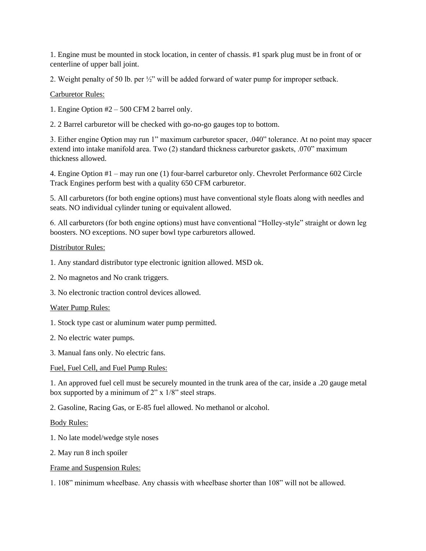1. Engine must be mounted in stock location, in center of chassis. #1 spark plug must be in front of or centerline of upper ball joint.

2. Weight penalty of 50 lb. per ½" will be added forward of water pump for improper setback.

## Carburetor Rules:

1. Engine Option #2 – 500 CFM 2 barrel only.

2. 2 Barrel carburetor will be checked with go-no-go gauges top to bottom.

3. Either engine Option may run 1" maximum carburetor spacer, .040" tolerance. At no point may spacer extend into intake manifold area. Two (2) standard thickness carburetor gaskets, .070" maximum thickness allowed.

4. Engine Option #1 – may run one (1) four-barrel carburetor only. Chevrolet Performance 602 Circle Track Engines perform best with a quality 650 CFM carburetor.

5. All carburetors (for both engine options) must have conventional style floats along with needles and seats. NO individual cylinder tuning or equivalent allowed.

6. All carburetors (for both engine options) must have conventional "Holley-style" straight or down leg boosters. NO exceptions. NO super bowl type carburetors allowed.

### Distributor Rules:

- 1. Any standard distributor type electronic ignition allowed. MSD ok.
- 2. No magnetos and No crank triggers.
- 3. No electronic traction control devices allowed.

### Water Pump Rules:

- 1. Stock type cast or aluminum water pump permitted.
- 2. No electric water pumps.
- 3. Manual fans only. No electric fans.

### Fuel, Fuel Cell, and Fuel Pump Rules:

1. An approved fuel cell must be securely mounted in the trunk area of the car, inside a .20 gauge metal box supported by a minimum of 2" x 1/8" steel straps.

2. Gasoline, Racing Gas, or E-85 fuel allowed. No methanol or alcohol.

### Body Rules:

- 1. No late model/wedge style noses
- 2. May run 8 inch spoiler

### Frame and Suspension Rules:

1. 108" minimum wheelbase. Any chassis with wheelbase shorter than 108" will not be allowed.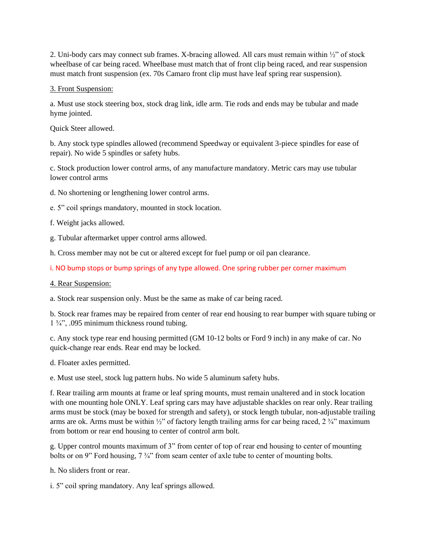2. Uni-body cars may connect sub frames. X-bracing allowed. All cars must remain within ½" of stock wheelbase of car being raced. Wheelbase must match that of front clip being raced, and rear suspension must match front suspension (ex. 70s Camaro front clip must have leaf spring rear suspension).

### 3. Front Suspension:

a. Must use stock steering box, stock drag link, idle arm. Tie rods and ends may be tubular and made hyme jointed.

Quick Steer allowed.

b. Any stock type spindles allowed (recommend Speedway or equivalent 3-piece spindles for ease of repair). No wide 5 spindles or safety hubs.

c. Stock production lower control arms, of any manufacture mandatory. Metric cars may use tubular lower control arms

d. No shortening or lengthening lower control arms.

e. 5" coil springs mandatory, mounted in stock location.

f. Weight jacks allowed.

g. Tubular aftermarket upper control arms allowed.

h. Cross member may not be cut or altered except for fuel pump or oil pan clearance.

i. NO bump stops or bump springs of any type allowed. One spring rubber per corner maximum

4. Rear Suspension:

a. Stock rear suspension only. Must be the same as make of car being raced.

b. Stock rear frames may be repaired from center of rear end housing to rear bumper with square tubing or  $1\frac{3}{4}$ , .095 minimum thickness round tubing.

c. Any stock type rear end housing permitted (GM 10-12 bolts or Ford 9 inch) in any make of car. No quick-change rear ends. Rear end may be locked.

d. Floater axles permitted.

e. Must use steel, stock lug pattern hubs. No wide 5 aluminum safety hubs.

f. Rear trailing arm mounts at frame or leaf spring mounts, must remain unaltered and in stock location with one mounting hole ONLY. Leaf spring cars may have adjustable shackles on rear only. Rear trailing arms must be stock (may be boxed for strength and safety), or stock length tubular, non-adjustable trailing arms are ok. Arms must be within  $\frac{1}{2}$ " of factory length trailing arms for car being raced, 2  $\frac{3}{4}$ " maximum from bottom or rear end housing to center of control arm bolt.

g. Upper control mounts maximum of 3" from center of top of rear end housing to center of mounting bolts or on 9" Ford housing,  $7\frac{3}{4}$ " from seam center of axle tube to center of mounting bolts.

h. No sliders front or rear.

i. 5" coil spring mandatory. Any leaf springs allowed.